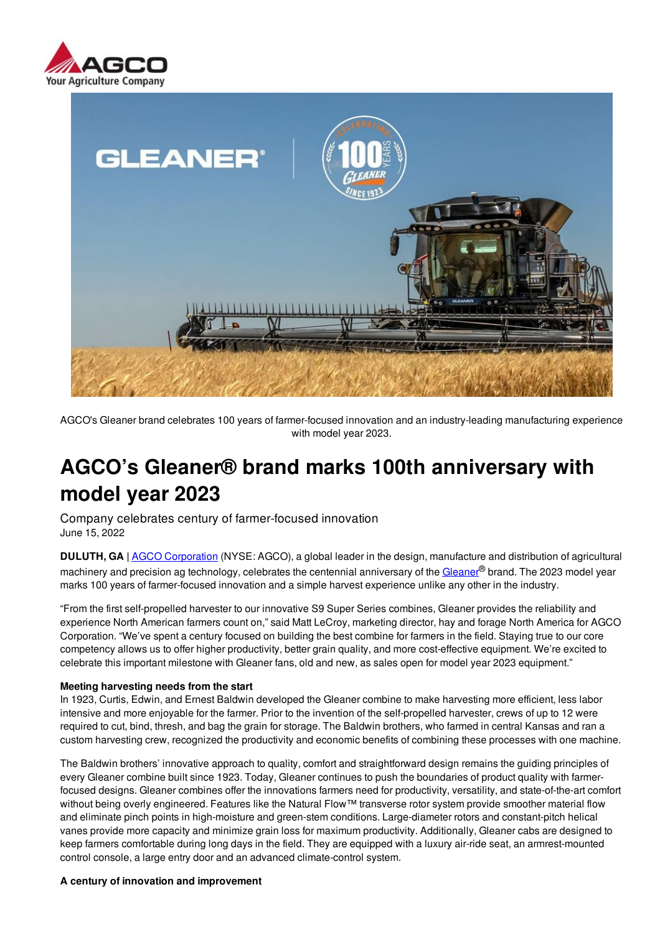



AGCO's Gleaner brand celebrates 100 years of farmer-focused innovation and an industry-leading manufacturing experience with model year 2023.

# **AGCO's Gleaner® brand marks 100th anniversary with model year 2023**

Company celebrates century of farmer-focused innovation June 15, 2022

**DULUTH, GA |** AGCO Corporation (NYSE: AGCO), a global leader in the design, manufacture and distribution of agricultural machinery and precision ag technology, celebrates the centennial anniversary of the Gleaner® brand. The 2023 model vear marks 100 years of farmer-focused innovation and a simple harvest experience unlike any other in the industry.

"From the first self-propelled harvester to our innovative S9 Super Series combines, Gleaner provides the reliability and experience North American farmers count on," said Matt LeCroy, marketing director, hay and forage North America for AGCO Corporation. "We've spent a century focused on building the best combine for farmers in the field. Staying true to our core competency allows us to offer higher productivity, better grain quality, and more cost-effective equipment. We're excited to celebrate this important milestone with Gleaner fans, old and new, as sales open for model year 2023 equipment."

## **Meeting harvesting needs from the start**

In 1923, Curtis, Edwin, and Ernest Baldwin developed the Gleaner combine to make harvesting more efficient, less labor intensive and more enjoyable for the farmer. Prior to the invention of the self-propelled harvester, crews of up to 12 were required to cut, bind, thresh, and bag the grain for storage. The Baldwin brothers, who farmed in central Kansas and ran a custom harvesting crew, recognized the productivity and economic benefits of combining these processes with one machine.

The Baldwin brothers' innovative approach to quality, comfort and straightforward design remains the guiding principles of every Gleaner combine built since 1923. Today, Gleaner continues to push the boundaries of product quality with farmerfocused designs. Gleaner combines offer the innovations farmers need for productivity, versatility, and state-of-the-art comfort without being overly engineered. Features like the Natural Flow™ transverse rotor system provide smoother material flow and eliminate pinch points in high-moisture and green-stem conditions. Large-diameter rotors and constant-pitch helical vanes provide more capacity and minimize grain loss for maximum productivity. Additionally, Gleaner cabs are designed to keep farmers comfortable during long days in the field. They are equipped with a luxury air-ride seat, an armrest-mounted control console, a large entry door and an advanced climate-control system.

#### **A century of innovation and improvement**